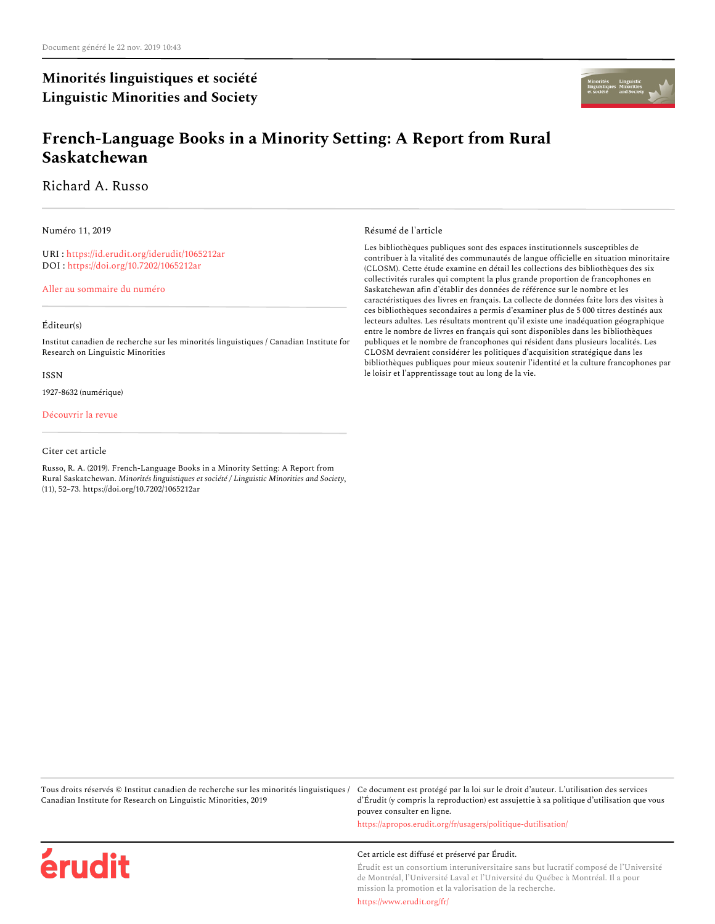# **Minorités linguistiques et société Linguistic Minorities and Society**



# **French-Language Books in a Minority Setting: A Report from Rural Saskatchewan**

Richard A. Russo

Numéro 11, 2019

URI : <https://id.erudit.org/iderudit/1065212ar> DOI : <https://doi.org/10.7202/1065212ar>

[Aller au sommaire du numéro](https://www.erudit.org/fr/revues/minling/2019-n11-minling04924/)

#### Éditeur(s)

Institut canadien de recherche sur les minorités linguistiques / Canadian Institute for Research on Linguistic Minorities

#### ISSN

1927-8632 (numérique)

#### [Découvrir la revue](https://www.erudit.org/fr/revues/minling/)

#### Citer cet article

érudit

Russo, R. A. (2019). French-Language Books in a Minority Setting: A Report from Rural Saskatchewan. *Minorités linguistiques et société / Linguistic Minorities and Society*, (11), 52–73. https://doi.org/10.7202/1065212ar

Résumé de l'article

Les bibliothèques publiques sont des espaces institutionnels susceptibles de contribuer à la vitalité des communautés de langue officielle en situation minoritaire (CLOSM). Cette étude examine en détail les collections des bibliothèques des six collectivités rurales qui comptent la plus grande proportion de francophones en Saskatchewan afin d'établir des données de référence sur le nombre et les caractéristiques des livres en français. La collecte de données faite lors des visites à ces bibliothèques secondaires a permis d'examiner plus de 5 000 titres destinés aux lecteurs adultes. Les résultats montrent qu'il existe une inadéquation géographique entre le nombre de livres en français qui sont disponibles dans les bibliothèques publiques et le nombre de francophones qui résident dans plusieurs localités. Les CLOSM devraient considérer les politiques d'acquisition stratégique dans les bibliothèques publiques pour mieux soutenir l'identité et la culture francophones par le loisir et l'apprentissage tout au long de la vie.

Tous droits réservés © Institut canadien de recherche sur les minorités linguistiques / Canadian Institute for Research on Linguistic Minorities, 2019

Ce document est protégé par la loi sur le droit d'auteur. L'utilisation des services d'Érudit (y compris la reproduction) est assujettie à sa politique d'utilisation que vous pouvez consulter en ligne.

<https://apropos.erudit.org/fr/usagers/politique-dutilisation/>

#### Cet article est diffusé et préservé par Érudit.

Érudit est un consortium interuniversitaire sans but lucratif composé de l'Université de Montréal, l'Université Laval et l'Université du Québec à Montréal. Il a pour mission la promotion et la valorisation de la recherche.

<https://www.erudit.org/fr/>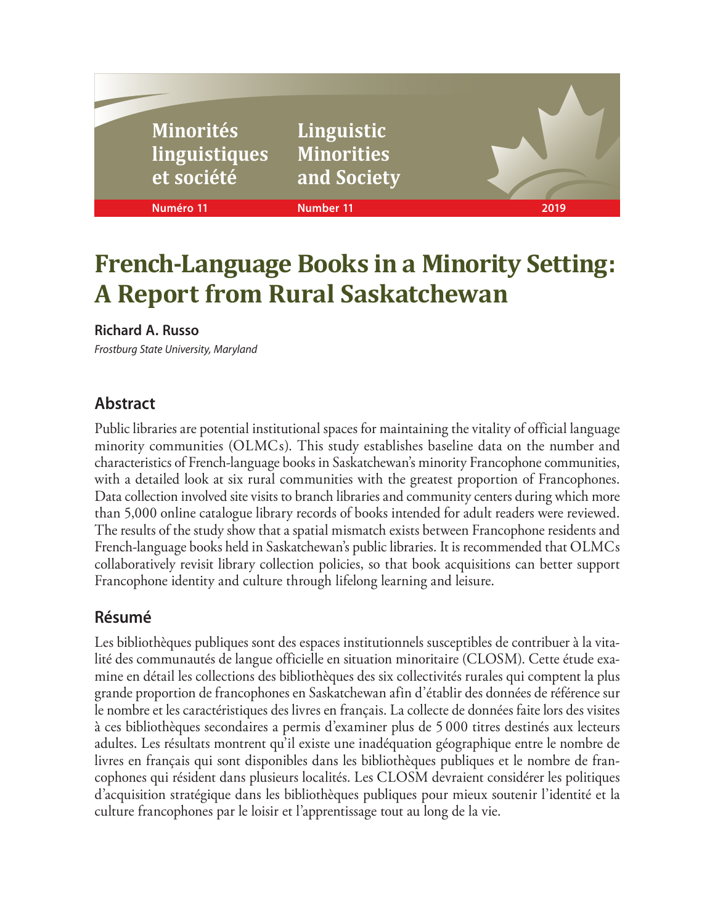| <b>Minorités</b><br>Iinguistiques<br>et société | Linguistic<br><b>Minorities</b><br>and Society |      |
|-------------------------------------------------|------------------------------------------------|------|
| Numéro 11                                       | <b>Number 11</b>                               | 2019 |
|                                                 |                                                |      |

# **French-Language Books in a Minority Setting: A Report from Rural Saskatchewan**

# **Richard A. Russo**

*Frostburg State University, Maryland*

# **Abstract**

Public libraries are potential institutional spaces for maintaining the vitality of official language minority communities (OLMCs). This study establishes baseline data on the number and characteristics of French-language books in Saskatchewan's minority Francophone communities, with a detailed look at six rural communities with the greatest proportion of Francophones. Data collection involved site visits to branch libraries and community centers during which more than 5,000 online catalogue library records of books intended for adult readers were reviewed. The results of the study show that a spatial mismatch exists between Francophone residents and French-language books held in Saskatchewan's public libraries. It is recommended that OLMCs collaboratively revisit library collection policies, so that book acquisitions can better support Francophone identity and culture through lifelong learning and leisure.

# **Résumé**

Les bibliothèques publiques sont des espaces institutionnels susceptibles de contribuer à la vitalité des communautés de langue officielle en situation minoritaire (CLOSM). Cette étude examine en détail les collections des bibliothèques des six collectivités rurales qui comptent la plus grande proportion de francophones en Saskatchewan afin d'établir des données de référence sur le nombre et les caractéristiques des livres en français. La collecte de données faite lors des visites à ces bibliothèques secondaires a permis d'examiner plus de 5 000 titres destinés aux lecteurs adultes. Les résultats montrent qu'il existe une inadéquation géographique entre le nombre de livres en français qui sont disponibles dans les bibliothèques publiques et le nombre de francophones qui résident dans plusieurs localités. Les CLOSM devraient considérer les politiques d'acquisition stratégique dans les bibliothèques publiques pour mieux soutenir l'identité et la culture francophones par le loisir et l'apprentissage tout au long de la vie.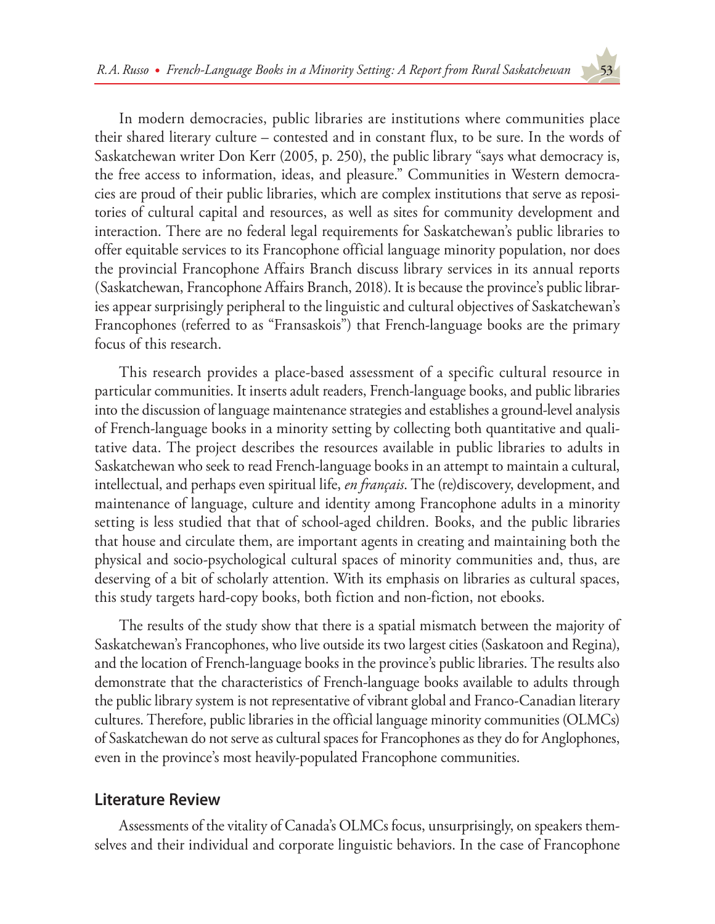In modern democracies, public libraries are institutions where communities place their shared literary culture – contested and in constant flux, to be sure. In the words of Saskatchewan writer Don Kerr (2005, p. 250), the public library "says what democracy is, the free access to information, ideas, and pleasure." Communities in Western democracies are proud of their public libraries, which are complex institutions that serve as repositories of cultural capital and resources, as well as sites for community development and interaction. There are no federal legal requirements for Saskatchewan's public libraries to offer equitable services to its Francophone official language minority population, nor does the provincial Francophone Affairs Branch discuss library services in its annual reports (Saskatchewan, Francophone Affairs Branch, 2018). It is because the province's public libraries appear surprisingly peripheral to the linguistic and cultural objectives of Saskatchewan's Francophones (referred to as "Fransaskois") that French-language books are the primary focus of this research.

This research provides a place-based assessment of a specific cultural resource in particular communities. It inserts adult readers, French-language books, and public libraries into the discussion of language maintenance strategies and establishes a ground-level analysis of French-language books in a minority setting by collecting both quantitative and qualitative data. The project describes the resources available in public libraries to adults in Saskatchewan who seek to read French-language books in an attempt to maintain a cultural, intellectual, and perhaps even spiritual life, *en français*. The (re)discovery, development, and maintenance of language, culture and identity among Francophone adults in a minority setting is less studied that that of school-aged children. Books, and the public libraries that house and circulate them, are important agents in creating and maintaining both the physical and socio-psychological cultural spaces of minority communities and, thus, are deserving of a bit of scholarly attention. With its emphasis on libraries as cultural spaces, this study targets hard-copy books, both fiction and non-fiction, not ebooks.

The results of the study show that there is a spatial mismatch between the majority of Saskatchewan's Francophones, who live outside its two largest cities (Saskatoon and Regina), and the location of French-language books in the province's public libraries. The results also demonstrate that the characteristics of French-language books available to adults through the public library system is not representative of vibrant global and Franco-Canadian literary cultures. Therefore, public libraries in the official language minority communities (OLMCs) of Saskatchewan do not serve as cultural spaces for Francophones as they do for Anglophones, even in the province's most heavily-populated Francophone communities.

# **Literature Review**

Assessments of the vitality of Canada's OLMCs focus, unsurprisingly, on speakers themselves and their individual and corporate linguistic behaviors. In the case of Francophone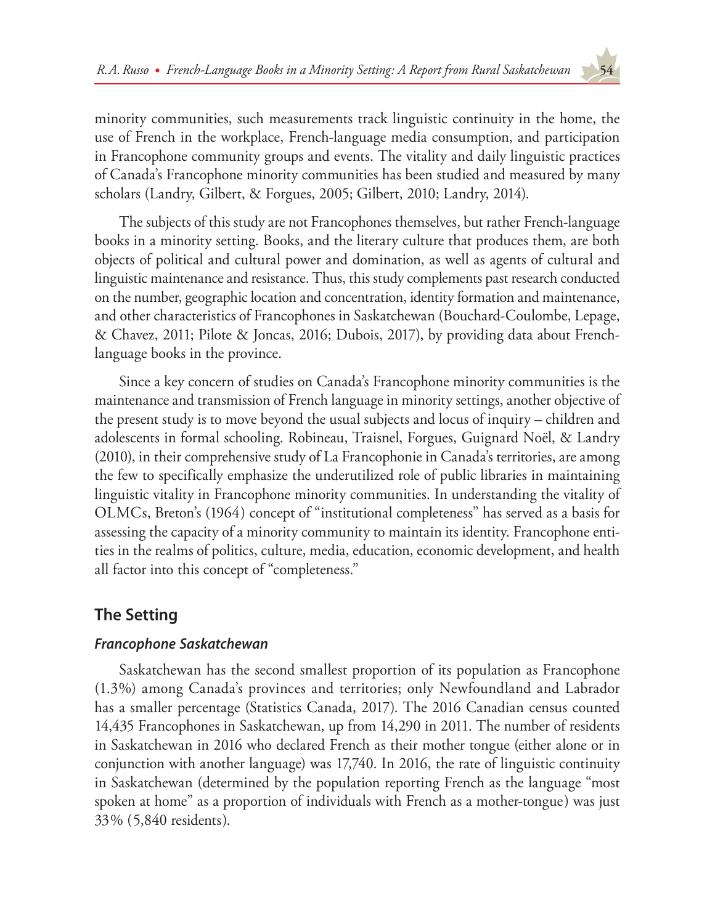minority communities, such measurements track linguistic continuity in the home, the use of French in the workplace, French-language media consumption, and participation in Francophone community groups and events. The vitality and daily linguistic practices of Canada's Francophone minority communities has been studied and measured by many scholars (Landry, Gilbert, & Forgues, 2005; Gilbert, 2010; Landry, 2014).

The subjects of this study are not Francophones themselves, but rather French-language books in a minority setting. Books, and the literary culture that produces them, are both objects of political and cultural power and domination, as well as agents of cultural and linguistic maintenance and resistance. Thus, this study complements past research conducted on the number, geographic location and concentration, identity formation and maintenance, and other characteristics of Francophones in Saskatchewan (Bouchard-Coulombe, Lepage, & Chavez, 2011; Pilote & Joncas, 2016; Dubois, 2017), by providing data about Frenchlanguage books in the province.

Since a key concern of studies on Canada's Francophone minority communities is the maintenance and transmission of French language in minority settings, another objective of the present study is to move beyond the usual subjects and locus of inquiry – children and adolescents in formal schooling. Robineau, Traisnel, Forgues, Guignard Noël, & Landry (2010), in their comprehensive study of La Francophonie in Canada's territories, are among the few to specifically emphasize the underutilized role of public libraries in maintaining linguistic vitality in Francophone minority communities. In understanding the vitality of OLMCs, Breton's (1964) concept of "institutional completeness" has served as a basis for assessing the capacity of a minority community to maintain its identity. Francophone entities in the realms of politics, culture, media, education, economic development, and health all factor into this concept of "completeness."

# **The Setting**

# *Francophone Saskatchewan*

Saskatchewan has the second smallest proportion of its population as Francophone (1.3%) among Canada's provinces and territories; only Newfoundland and Labrador has a smaller percentage (Statistics Canada, 2017). The 2016 Canadian census counted 14,435 Francophones in Saskatchewan, up from 14,290 in 2011. The number of residents in Saskatchewan in 2016 who declared French as their mother tongue (either alone or in conjunction with another language) was 17,740. In 2016, the rate of linguistic continuity in Saskatchewan (determined by the population reporting French as the language "most spoken at home" as a proportion of individuals with French as a mother-tongue) was just 33% (5,840 residents).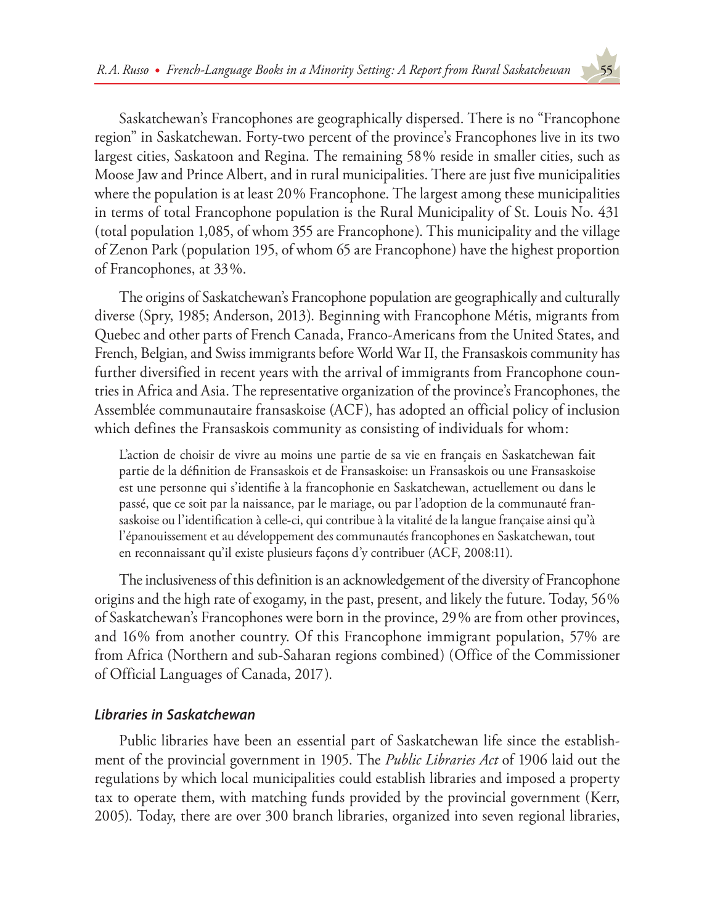Saskatchewan's Francophones are geographically dispersed. There is no "Francophone region" in Saskatchewan. Forty-two percent of the province's Francophones live in its two largest cities, Saskatoon and Regina. The remaining 58% reside in smaller cities, such as Moose Jaw and Prince Albert, and in rural municipalities. There are just five municipalities where the population is at least 20% Francophone. The largest among these municipalities in terms of total Francophone population is the Rural Municipality of St. Louis No. 431 (total population 1,085, of whom 355 are Francophone). This municipality and the village of Zenon Park (population 195, of whom 65 are Francophone) have the highest proportion of Francophones, at 33%.

The origins of Saskatchewan's Francophone population are geographically and culturally diverse (Spry, 1985; Anderson, 2013). Beginning with Francophone Métis, migrants from Quebec and other parts of French Canada, Franco-Americans from the United States, and French, Belgian, and Swiss immigrants before World War II, the Fransaskois community has further diversified in recent years with the arrival of immigrants from Francophone countries in Africa and Asia. The representative organization of the province's Francophones, the Assemblée communautaire fransaskoise (ACF), has adopted an official policy of inclusion which defines the Fransaskois community as consisting of individuals for whom:

L'action de choisir de vivre au moins une partie de sa vie en français en Saskatchewan fait partie de la définition de Fransaskois et de Fransaskoise: un Fransaskois ou une Fransaskoise est une personne qui s'identifie à la francophonie en Saskatchewan, actuellement ou dans le passé, que ce soit par la naissance, par le mariage, ou par l'adoption de la communauté fransaskoise ou l'identification à celle-ci, qui contribue à la vitalité de la langue française ainsi qu'à l'épanouissement et au développement des communautés francophones en Saskatchewan, tout en reconnaissant qu'il existe plusieurs façons d'y contribuer (ACF, 2008:11).

The inclusiveness of this definition is an acknowledgement of the diversity of Francophone origins and the high rate of exogamy, in the past, present, and likely the future. Today, 56% of Saskatchewan's Francophones were born in the province, 29% are from other provinces, and 16% from another country. Of this Francophone immigrant population, 57% are from Africa (Northern and sub-Saharan regions combined) (Office of the Commissioner of Official Languages of Canada, 2017).

# *Libraries in Saskatchewan*

Public libraries have been an essential part of Saskatchewan life since the establishment of the provincial government in 1905. The *Public Libraries Act* of 1906 laid out the regulations by which local municipalities could establish libraries and imposed a property tax to operate them, with matching funds provided by the provincial government (Kerr, 2005). Today, there are over 300 branch libraries, organized into seven regional libraries,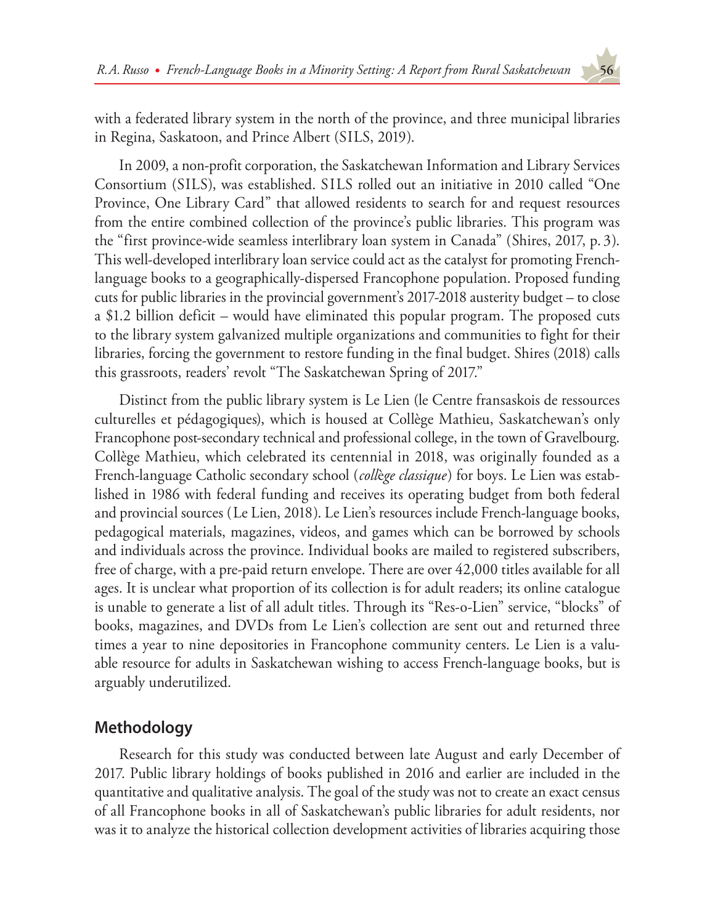with a federated library system in the north of the province, and three municipal libraries in Regina, Saskatoon, and Prince Albert (SILS, 2019).

In 2009, a non-profit corporation, the Saskatchewan Information and Library Services Consortium (SILS), was established. SILS rolled out an initiative in 2010 called "One Province, One Library Card" that allowed residents to search for and request resources from the entire combined collection of the province's public libraries. This program was the "first province-wide seamless interlibrary loan system in Canada" (Shires, 2017, p. 3). This well-developed interlibrary loan service could act as the catalyst for promoting Frenchlanguage books to a geographically-dispersed Francophone population. Proposed funding cuts for public libraries in the provincial government's 2017-2018 austerity budget – to close a \$1.2 billion deficit – would have eliminated this popular program. The proposed cuts to the library system galvanized multiple organizations and communities to fight for their libraries, forcing the government to restore funding in the final budget. Shires (2018) calls this grassroots, readers' revolt "The Saskatchewan Spring of 2017."

Distinct from the public library system is Le Lien (le Centre fransaskois de ressources culturelles et pédagogiques), which is housed at Collège Mathieu, Saskatchewan's only Francophone post-secondary technical and professional college, in the town of Gravelbourg. Collège Mathieu, which celebrated its centennial in 2018, was originally founded as a French-language Catholic secondary school (*coll*è*ge classique*) for boys. Le Lien was established in 1986 with federal funding and receives its operating budget from both federal and provincial sources (Le Lien, 2018). Le Lien's resources include French-language books, pedagogical materials, magazines, videos, and games which can be borrowed by schools and individuals across the province. Individual books are mailed to registered subscribers, free of charge, with a pre-paid return envelope. There are over 42,000 titles available for all ages. It is unclear what proportion of its collection is for adult readers; its online catalogue is unable to generate a list of all adult titles. Through its "Res-o-Lien" service, "blocks" of books, magazines, and DVDs from Le Lien's collection are sent out and returned three times a year to nine depositories in Francophone community centers. Le Lien is a valuable resource for adults in Saskatchewan wishing to access French-language books, but is arguably underutilized.

# **Methodology**

Research for this study was conducted between late August and early December of 2017. Public library holdings of books published in 2016 and earlier are included in the quantitative and qualitative analysis. The goal of the study was not to create an exact census of all Francophone books in all of Saskatchewan's public libraries for adult residents, nor was it to analyze the historical collection development activities of libraries acquiring those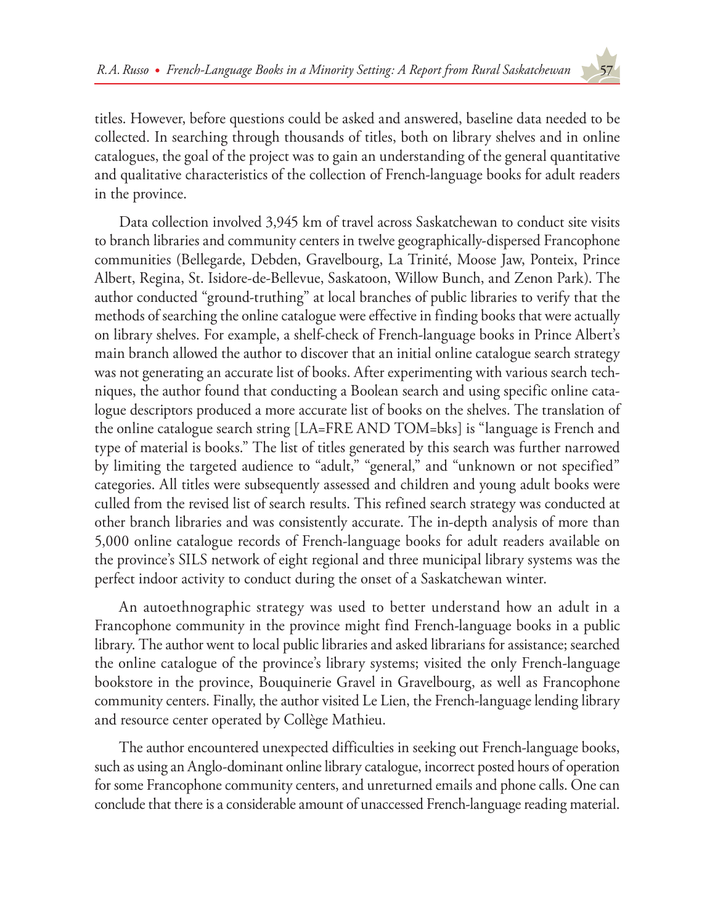titles. However, before questions could be asked and answered, baseline data needed to be collected. In searching through thousands of titles, both on library shelves and in online catalogues, the goal of the project was to gain an understanding of the general quantitative and qualitative characteristics of the collection of French-language books for adult readers in the province.

Data collection involved 3,945 km of travel across Saskatchewan to conduct site visits to branch libraries and community centers in twelve geographically-dispersed Francophone communities (Bellegarde, Debden, Gravelbourg, La Trinité, Moose Jaw, Ponteix, Prince Albert, Regina, St. Isidore-de-Bellevue, Saskatoon, Willow Bunch, and Zenon Park). The author conducted "ground-truthing" at local branches of public libraries to verify that the methods of searching the online catalogue were effective in finding books that were actually on library shelves. For example, a shelf-check of French-language books in Prince Albert's main branch allowed the author to discover that an initial online catalogue search strategy was not generating an accurate list of books. After experimenting with various search techniques, the author found that conducting a Boolean search and using specific online catalogue descriptors produced a more accurate list of books on the shelves. The translation of the online catalogue search string [LA=FRE AND TOM=bks] is "language is French and type of material is books." The list of titles generated by this search was further narrowed by limiting the targeted audience to "adult," "general," and "unknown or not specified" categories. All titles were subsequently assessed and children and young adult books were culled from the revised list of search results. This refined search strategy was conducted at other branch libraries and was consistently accurate. The in-depth analysis of more than 5,000 online catalogue records of French-language books for adult readers available on the province's SILS network of eight regional and three municipal library systems was the perfect indoor activity to conduct during the onset of a Saskatchewan winter.

An autoethnographic strategy was used to better understand how an adult in a Francophone community in the province might find French-language books in a public library. The author went to local public libraries and asked librarians for assistance; searched the online catalogue of the province's library systems; visited the only French-language bookstore in the province, Bouquinerie Gravel in Gravelbourg, as well as Francophone community centers. Finally, the author visited Le Lien, the French-language lending library and resource center operated by Collège Mathieu.

The author encountered unexpected difficulties in seeking out French-language books, such as using an Anglo-dominant online library catalogue, incorrect posted hours of operation for some Francophone community centers, and unreturned emails and phone calls. One can conclude that there is a considerable amount of unaccessed French-language reading material.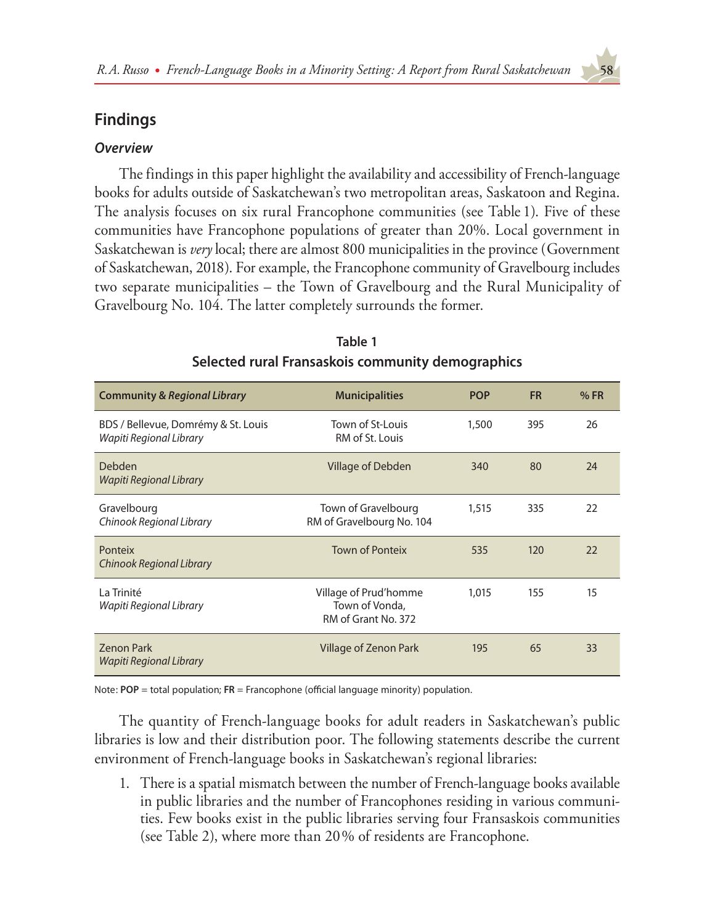# **Findings**

# *Overview*

The findings in this paper highlight the availability and accessibility of French-language books for adults outside of Saskatchewan's two metropolitan areas, Saskatoon and Regina. The analysis focuses on six rural Francophone communities (see Table 1). Five of these communities have Francophone populations of greater than 20%. Local government in Saskatchewan is *very* local; there are almost 800 municipalities in the province (Government of Saskatchewan, 2018). For example, the Francophone community of Gravelbourg includes two separate municipalities – the Town of Gravelbourg and the Rural Municipality of Gravelbourg No. 104. The latter completely surrounds the former.

| <b>Community &amp; Regional Library</b>                        | <b>Municipalities</b>                                          | <b>POP</b> | <b>FR</b> | %FR |
|----------------------------------------------------------------|----------------------------------------------------------------|------------|-----------|-----|
| BDS / Bellevue, Domrémy & St. Louis<br>Wapiti Regional Library | Town of St-Louis<br>RM of St. Louis                            | 1,500      | 395       | 26  |
| Debden<br>Wapiti Regional Library                              | Village of Debden                                              | 340        | 80        | 24  |
| Gravelbourg<br>Chinook Regional Library                        | Town of Gravelbourg<br>RM of Gravelbourg No. 104               | 1,515      | 335       | 22  |
| <b>Ponteix</b><br>Chinook Regional Library                     | <b>Town of Ponteix</b>                                         | 535        | 120       | 22  |
| La Trinité<br>Wapiti Regional Library                          | Village of Prud'homme<br>Town of Vonda,<br>RM of Grant No. 372 | 1,015      | 155       | 15  |
| <b>Zenon Park</b><br>Wapiti Regional Library                   | Village of Zenon Park                                          | 195        | 65        | 33  |

# **Table 1 Selected rural Fransaskois community demographics**

Note: **POP** = total population; **FR** = Francophone (official language minority) population.

The quantity of French-language books for adult readers in Saskatchewan's public libraries is low and their distribution poor. The following statements describe the current environment of French-language books in Saskatchewan's regional libraries:

1. There is a spatial mismatch between the number of French-language books available in public libraries and the number of Francophones residing in various communities. Few books exist in the public libraries serving four Fransaskois communities (see Table 2), where more than 20% of residents are Francophone.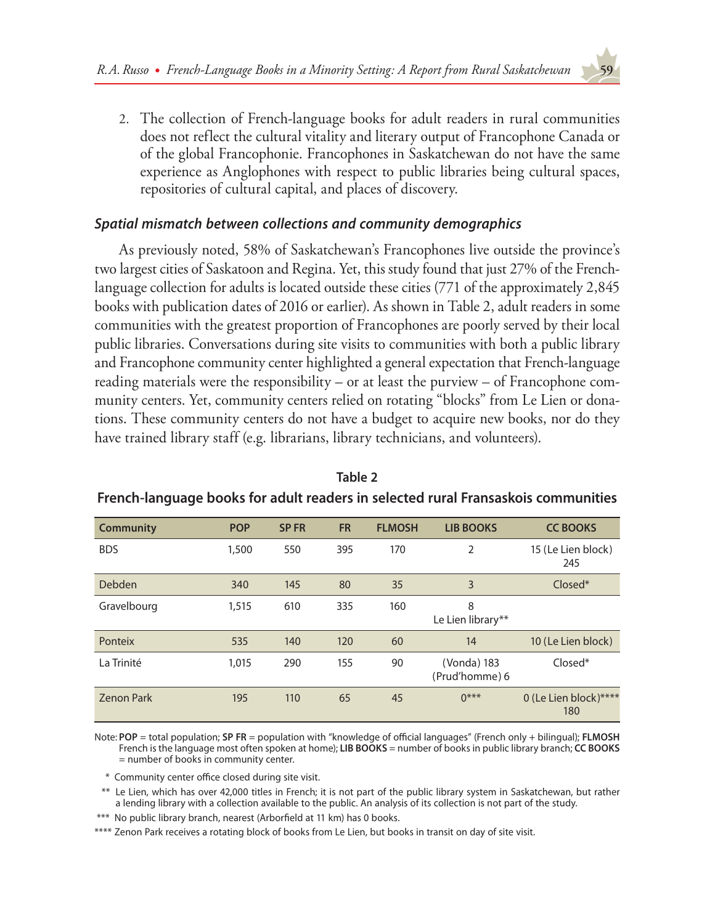2. The collection of French-language books for adult readers in rural communities does not reflect the cultural vitality and literary output of Francophone Canada or of the global Francophonie. Francophones in Saskatchewan do not have the same experience as Anglophones with respect to public libraries being cultural spaces, repositories of cultural capital, and places of discovery.

# *Spatial mismatch between collections and community demographics*

As previously noted, 58% of Saskatchewan's Francophones live outside the province's two largest cities of Saskatoon and Regina. Yet, this study found that just 27% of the Frenchlanguage collection for adults is located outside these cities (771 of the approximately 2,845 books with publication dates of 2016 or earlier). As shown in Table 2, adult readers in some communities with the greatest proportion of Francophones are poorly served by their local public libraries. Conversations during site visits to communities with both a public library and Francophone community center highlighted a general expectation that French-language reading materials were the responsibility – or at least the purview – of Francophone community centers. Yet, community centers relied on rotating "blocks" from Le Lien or donations. These community centers do not have a budget to acquire new books, nor do they have trained library staff (e.g. librarians, library technicians, and volunteers).

| <b>Community</b>  | <b>POP</b> | <b>SPFR</b> | <b>FR</b> | <b>FLMOSH</b> | <b>LIB BOOKS</b>              | <b>CC BOOKS</b>              |
|-------------------|------------|-------------|-----------|---------------|-------------------------------|------------------------------|
| <b>BDS</b>        | 1,500      | 550         | 395       | 170           | 2                             | 15 (Le Lien block)<br>245    |
| Debden            | 340        | 145         | 80        | 35            | 3                             | $Closed^*$                   |
| Gravelbourg       | 1,515      | 610         | 335       | 160           | 8<br>Le Lien library**        |                              |
| Ponteix           | 535        | 140         | 120       | 60            | 14                            | 10 (Le Lien block)           |
| La Trinité        | 1,015      | 290         | 155       | 90            | (Vonda) 183<br>(Prud'homme) 6 | $Closed*$                    |
| <b>Zenon Park</b> | 195        | 110         | 65        | 45            | $0***$                        | 0 (Le Lien block)****<br>180 |

**Table 2 French-language books for adult readers in selected rural Fransaskois communities**

Note: **POP** = total population; **SP FR** = population with "knowledge of official languages" (French only + bilingual); **FLMOSH** French is the language most often spoken at home); **LIB BOOKS** = number of books in public library branch; **CC BOOKS** = number of books in community center.

\* Community center office closed during site visit.

\*\* Le Lien, which has over 42,000 titles in French; it is not part of the public library system in Saskatchewan, but rather a lending library with a collection available to the public. An analysis of its collection is not part of the study.

\*\*\* No public library branch, nearest (Arborfield at 11 km) has 0 books.

\*\*\*\* Zenon Park receives a rotating block of books from Le Lien, but books in transit on day of site visit.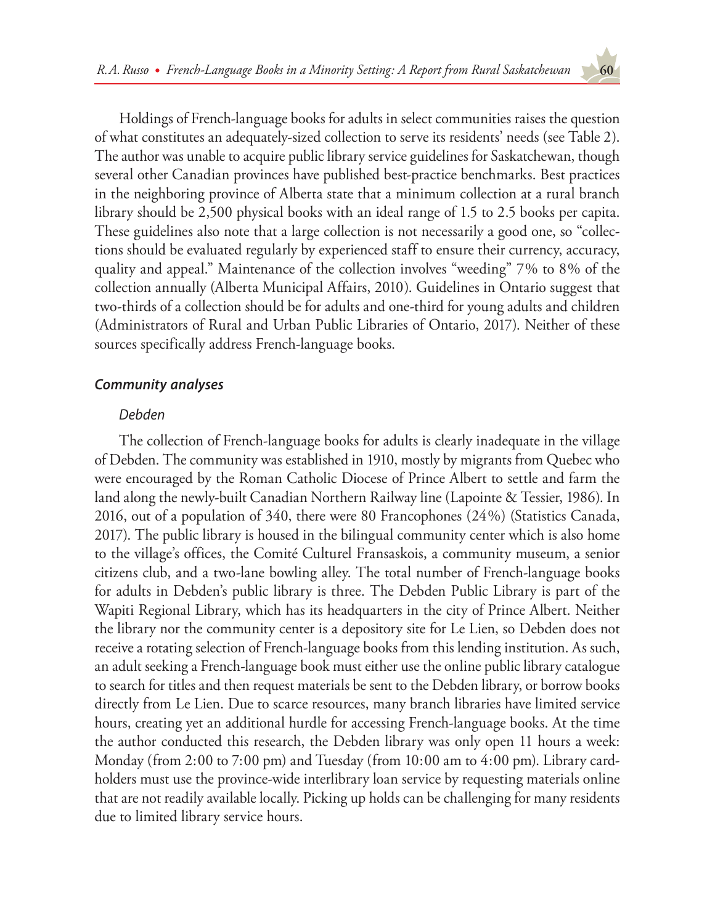Holdings of French-language books for adults in select communities raises the question of what constitutes an adequately-sized collection to serve its residents' needs (see Table 2). The author was unable to acquire public library service guidelines for Saskatchewan, though several other Canadian provinces have published best-practice benchmarks. Best practices in the neighboring province of Alberta state that a minimum collection at a rural branch library should be 2,500 physical books with an ideal range of 1.5 to 2.5 books per capita. These guidelines also note that a large collection is not necessarily a good one, so "collections should be evaluated regularly by experienced staff to ensure their currency, accuracy, quality and appeal." Maintenance of the collection involves "weeding" 7% to 8% of the collection annually (Alberta Municipal Affairs, 2010). Guidelines in Ontario suggest that two-thirds of a collection should be for adults and one-third for young adults and children (Administrators of Rural and Urban Public Libraries of Ontario, 2017). Neither of these sources specifically address French-language books.

# *Community analyses*

### *Debden*

The collection of French-language books for adults is clearly inadequate in the village of Debden. The community was established in 1910, mostly by migrants from Quebec who were encouraged by the Roman Catholic Diocese of Prince Albert to settle and farm the land along the newly-built Canadian Northern Railway line (Lapointe & Tessier, 1986). In 2016, out of a population of 340, there were 80 Francophones (24%) (Statistics Canada, 2017). The public library is housed in the bilingual community center which is also home to the village's offices, the Comité Culturel Fransaskois, a community museum, a senior citizens club, and a two-lane bowling alley. The total number of French-language books for adults in Debden's public library is three. The Debden Public Library is part of the Wapiti Regional Library, which has its headquarters in the city of Prince Albert. Neither the library nor the community center is a depository site for Le Lien, so Debden does not receive a rotating selection of French-language books from this lending institution. As such, an adult seeking a French-language book must either use the online public library catalogue to search for titles and then request materials be sent to the Debden library, or borrow books directly from Le Lien. Due to scarce resources, many branch libraries have limited service hours, creating yet an additional hurdle for accessing French-language books. At the time the author conducted this research, the Debden library was only open 11 hours a week: Monday (from 2:00 to 7:00 pm) and Tuesday (from 10:00 am to 4:00 pm). Library cardholders must use the province-wide interlibrary loan service by requesting materials online that are not readily available locally. Picking up holds can be challenging for many residents due to limited library service hours.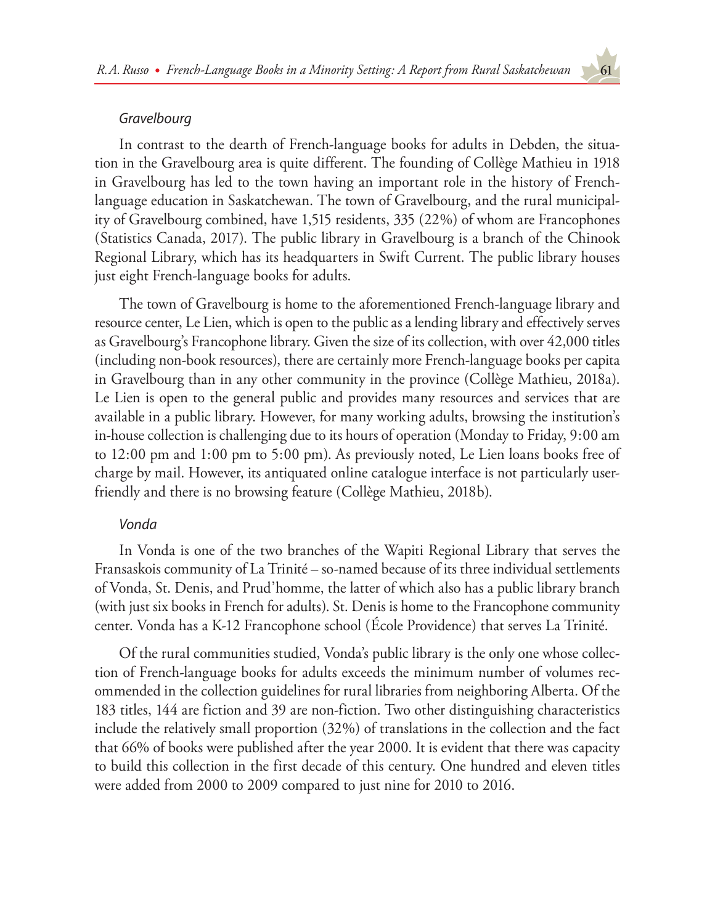### *Gravelbourg*

In contrast to the dearth of French-language books for adults in Debden, the situation in the Gravelbourg area is quite different. The founding of Collège Mathieu in 1918 in Gravelbourg has led to the town having an important role in the history of Frenchlanguage education in Saskatchewan. The town of Gravelbourg, and the rural municipality of Gravelbourg combined, have 1,515 residents, 335 (22%) of whom are Francophones (Statistics Canada, 2017). The public library in Gravelbourg is a branch of the Chinook Regional Library, which has its headquarters in Swift Current. The public library houses just eight French-language books for adults.

The town of Gravelbourg is home to the aforementioned French-language library and resource center, Le Lien, which is open to the public as a lending library and effectively serves as Gravelbourg's Francophone library. Given the size of its collection, with over 42,000 titles (including non-book resources), there are certainly more French-language books per capita in Gravelbourg than in any other community in the province (Collège Mathieu, 2018a). Le Lien is open to the general public and provides many resources and services that are available in a public library. However, for many working adults, browsing the institution's in-house collection is challenging due to its hours of operation (Monday to Friday, 9:00 am to 12:00 pm and 1:00 pm to 5:00 pm). As previously noted, Le Lien loans books free of charge by mail. However, its antiquated online catalogue interface is not particularly userfriendly and there is no browsing feature (Collège Mathieu, 2018b).

### *Vonda*

In Vonda is one of the two branches of the Wapiti Regional Library that serves the Fransaskois community of La Trinité – so-named because of its three individual settlements of Vonda, St. Denis, and Prud'homme, the latter of which also has a public library branch (with just six books in French for adults). St. Denis is home to the Francophone community center. Vonda has a K-12 Francophone school (École Providence) that serves La Trinité.

Of the rural communities studied, Vonda's public library is the only one whose collection of French-language books for adults exceeds the minimum number of volumes recommended in the collection guidelines for rural libraries from neighboring Alberta. Of the 183 titles, 144 are fiction and 39 are non-fiction. Two other distinguishing characteristics include the relatively small proportion (32%) of translations in the collection and the fact that 66% of books were published after the year 2000. It is evident that there was capacity to build this collection in the first decade of this century. One hundred and eleven titles were added from 2000 to 2009 compared to just nine for 2010 to 2016.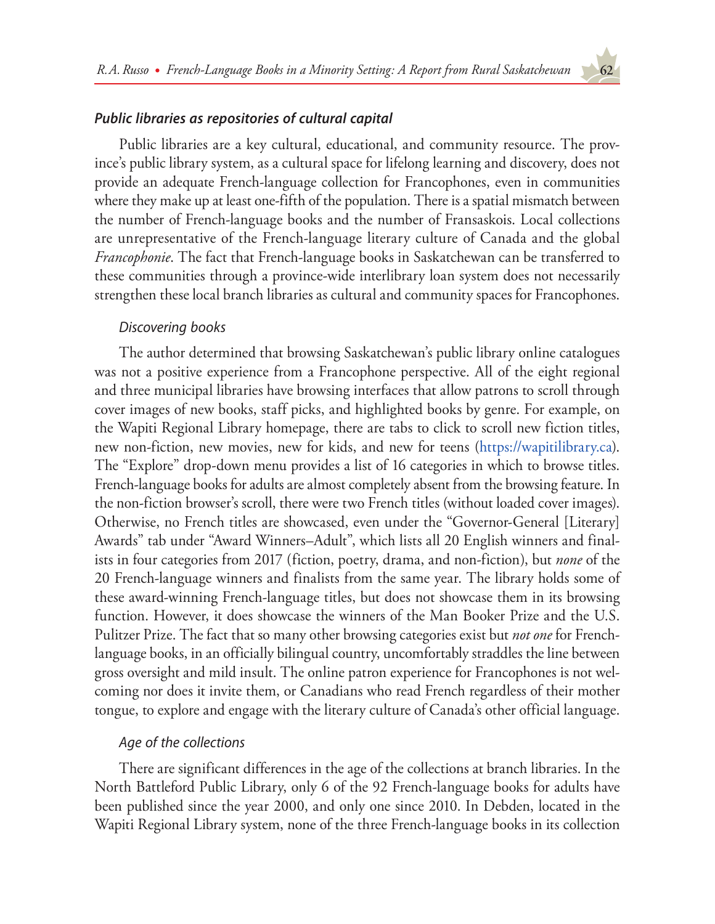# *Public libraries as repositories of cultural capital*

Public libraries are a key cultural, educational, and community resource. The province's public library system, as a cultural space for lifelong learning and discovery, does not provide an adequate French-language collection for Francophones, even in communities where they make up at least one-fifth of the population. There is a spatial mismatch between the number of French-language books and the number of Fransaskois. Local collections are unrepresentative of the French-language literary culture of Canada and the global *Francophonie*. The fact that French-language books in Saskatchewan can be transferred to these communities through a province-wide interlibrary loan system does not necessarily strengthen these local branch libraries as cultural and community spaces for Francophones.

### *Discovering books*

The author determined that browsing Saskatchewan's public library online catalogues was not a positive experience from a Francophone perspective. All of the eight regional and three municipal libraries have browsing interfaces that allow patrons to scroll through cover images of new books, staff picks, and highlighted books by genre. For example, on the Wapiti Regional Library homepage, there are tabs to click to scroll new fiction titles, new non-fiction, new movies, new for kids, and new for teens (<https://wapitilibrary.ca>). The "Explore" drop-down menu provides a list of 16 categories in which to browse titles. French-language books for adults are almost completely absent from the browsing feature. In the non-fiction browser's scroll, there were two French titles (without loaded cover images). Otherwise, no French titles are showcased, even under the "Governor-General [Literary] Awards" tab under "Award Winners–Adult", which lists all 20 English winners and finalists in four categories from 2017 (fiction, poetry, drama, and non-fiction), but *none* of the 20 French-language winners and finalists from the same year. The library holds some of these award-winning French-language titles, but does not showcase them in its browsing function. However, it does showcase the winners of the Man Booker Prize and the U.S. Pulitzer Prize. The fact that so many other browsing categories exist but *not one* for Frenchlanguage books, in an officially bilingual country, uncomfortably straddles the line between gross oversight and mild insult. The online patron experience for Francophones is not welcoming nor does it invite them, or Canadians who read French regardless of their mother tongue, to explore and engage with the literary culture of Canada's other official language.

# *Age of the collections*

There are significant differences in the age of the collections at branch libraries. In the North Battleford Public Library, only 6 of the 92 French-language books for adults have been published since the year 2000, and only one since 2010. In Debden, located in the Wapiti Regional Library system, none of the three French-language books in its collection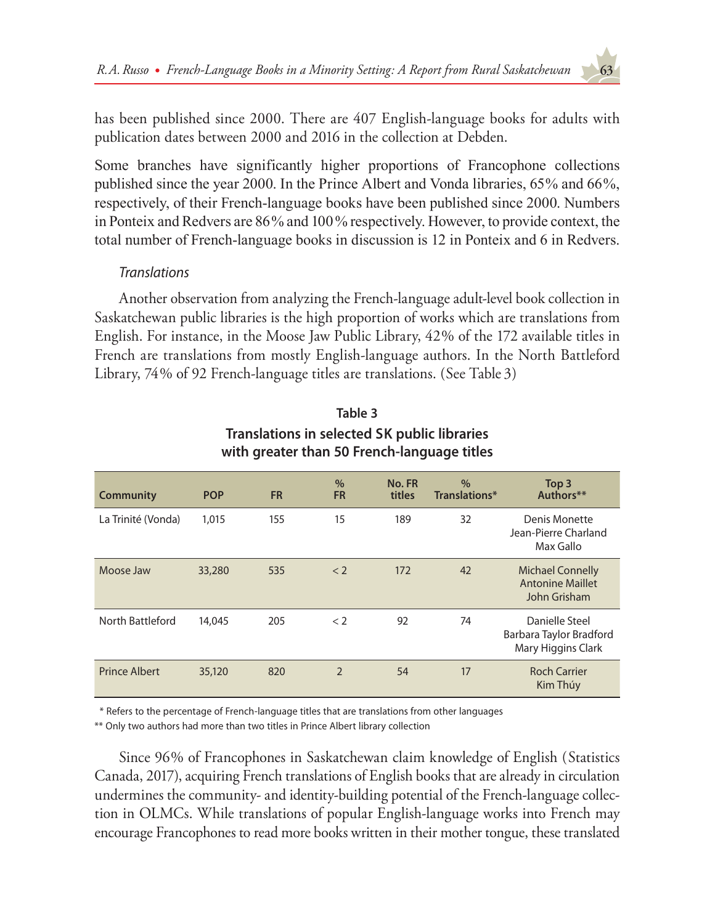has been published since 2000. There are 407 English-language books for adults with publication dates between 2000 and 2016 in the collection at Debden.

Some branches have significantly higher proportions of Francophone collections published since the year 2000. In the Prince Albert and Vonda libraries, 65% and 66%, respectively, of their French-language books have been published since 2000. Numbers in Ponteix and Redvers are 86% and 100% respectively. However, to provide context, the total number of French-language books in discussion is 12 in Ponteix and 6 in Redvers.

# *Translations*

Another observation from analyzing the French-language adult-level book collection in Saskatchewan public libraries is the high proportion of works which are translations from English. For instance, in the Moose Jaw Public Library, 42% of the 172 available titles in French are translations from mostly English-language authors. In the North Battleford Library, 74% of 92 French-language titles are translations. (See Table 3)

| <b>Community</b>     | <b>POP</b> | <b>FR</b> | $\%$<br><b>FR</b> | No. FR<br>titles | $\%$<br>Translations* | Top 3<br>Authors**                                                 |
|----------------------|------------|-----------|-------------------|------------------|-----------------------|--------------------------------------------------------------------|
| La Trinité (Vonda)   | 1,015      | 155       | 15                | 189              | 32                    | Denis Monette<br>Jean-Pierre Charland<br>Max Gallo                 |
| Moose Jaw            | 33,280     | 535       | < 2               | 172              | 42                    | <b>Michael Connelly</b><br><b>Antonine Maillet</b><br>John Grisham |
| North Battleford     | 14,045     | 205       | < 2               | 92               | 74                    | Danielle Steel<br>Barbara Taylor Bradford<br>Mary Higgins Clark    |
| <b>Prince Albert</b> | 35,120     | 820       | $\overline{2}$    | 54               | 17                    | <b>Roch Carrier</b><br>Kim Thúy                                    |

# **Table 3 Translations in selected SK public libraries with greater than 50 French-language titles**

\* Refers to the percentage of French-language titles that are translations from other languages

\*\* Only two authors had more than two titles in Prince Albert library collection

Since 96% of Francophones in Saskatchewan claim knowledge of English (Statistics Canada, 2017), acquiring French translations of English books that are already in circulation undermines the community- and identity-building potential of the French-language collection in OLMCs. While translations of popular English-language works into French may encourage Francophones to read more books written in their mother tongue, these translated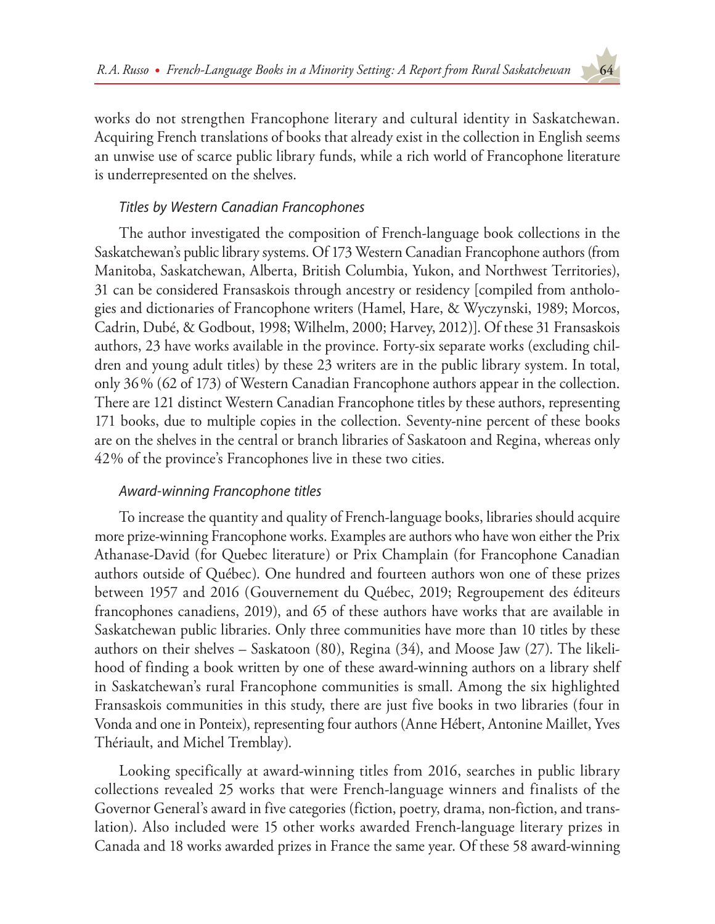works do not strengthen Francophone literary and cultural identity in Saskatchewan. Acquiring French translations of books that already exist in the collection in English seems an unwise use of scarce public library funds, while a rich world of Francophone literature is underrepresented on the shelves.

# *Titles by Western Canadian Francophones*

The author investigated the composition of French-language book collections in the Saskatchewan's public library systems. Of 173 Western Canadian Francophone authors (from Manitoba, Saskatchewan, Alberta, British Columbia, Yukon, and Northwest Territories), 31 can be considered Fransaskois through ancestry or residency [compiled from anthologies and dictionaries of Francophone writers (Hamel, Hare, & Wyczynski, 1989; Morcos, Cadrin, Dubé, & Godbout, 1998; Wilhelm, 2000; Harvey, 2012)]. Of these 31 Fransaskois authors, 23 have works available in the province. Forty-six separate works (excluding children and young adult titles) by these 23 writers are in the public library system. In total, only 36% (62 of 173) of Western Canadian Francophone authors appear in the collection. There are 121 distinct Western Canadian Francophone titles by these authors, representing 171 books, due to multiple copies in the collection. Seventy-nine percent of these books are on the shelves in the central or branch libraries of Saskatoon and Regina, whereas only 42% of the province's Francophones live in these two cities.

# *Award-winning Francophone titles*

To increase the quantity and quality of French-language books, libraries should acquire more prize-winning Francophone works. Examples are authors who have won either the Prix Athanase-David (for Quebec literature) or Prix Champlain (for Francophone Canadian authors outside of Québec). One hundred and fourteen authors won one of these prizes between 1957 and 2016 (Gouvernement du Québec, 2019; Regroupement des éditeurs francophones canadiens, 2019), and 65 of these authors have works that are available in Saskatchewan public libraries. Only three communities have more than 10 titles by these authors on their shelves – Saskatoon (80), Regina (34), and Moose Jaw (27). The likelihood of finding a book written by one of these award-winning authors on a library shelf in Saskatchewan's rural Francophone communities is small. Among the six highlighted Fransaskois communities in this study, there are just five books in two libraries (four in Vonda and one in Ponteix), representing four authors (Anne Hébert, Antonine Maillet, Yves Thériault, and Michel Tremblay).

Looking specifically at award-winning titles from 2016, searches in public library collections revealed 25 works that were French-language winners and finalists of the Governor General's award in five categories (fiction, poetry, drama, non-fiction, and translation). Also included were 15 other works awarded French-language literary prizes in Canada and 18 works awarded prizes in France the same year. Of these 58 award-winning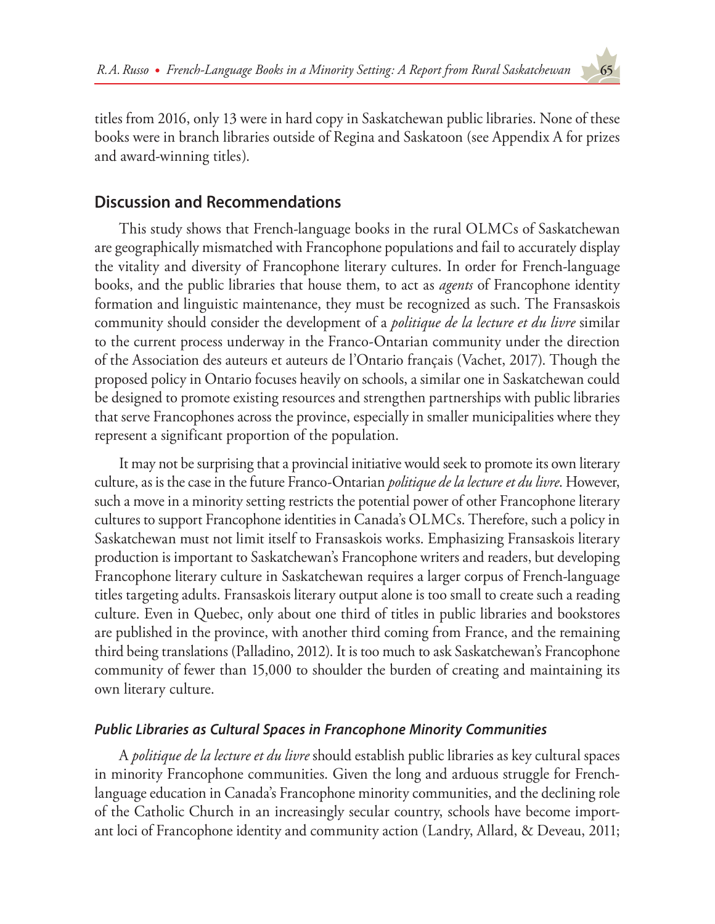titles from 2016, only 13 were in hard copy in Saskatchewan public libraries. None of these books were in branch libraries outside of Regina and Saskatoon (see Appendix A for prizes and award-winning titles).

# **Discussion and Recommendations**

This study shows that French-language books in the rural OLMCs of Saskatchewan are geographically mismatched with Francophone populations and fail to accurately display the vitality and diversity of Francophone literary cultures. In order for French-language books, and the public libraries that house them, to act as *agents* of Francophone identity formation and linguistic maintenance, they must be recognized as such. The Fransaskois community should consider the development of a *politique de la lecture et du livre* similar to the current process underway in the Franco-Ontarian community under the direction of the Association des auteurs et auteurs de l'Ontario français (Vachet, 2017). Though the proposed policy in Ontario focuses heavily on schools, a similar one in Saskatchewan could be designed to promote existing resources and strengthen partnerships with public libraries that serve Francophones across the province, especially in smaller municipalities where they represent a significant proportion of the population.

It may not be surprising that a provincial initiative would seek to promote its own literary culture, as is the case in the future Franco-Ontarian *politique de la lecture et du livre*. However, such a move in a minority setting restricts the potential power of other Francophone literary cultures to support Francophone identities in Canada's OLMCs. Therefore, such a policy in Saskatchewan must not limit itself to Fransaskois works. Emphasizing Fransaskois literary production is important to Saskatchewan's Francophone writers and readers, but developing Francophone literary culture in Saskatchewan requires a larger corpus of French-language titles targeting adults. Fransaskois literary output alone is too small to create such a reading culture. Even in Quebec, only about one third of titles in public libraries and bookstores are published in the province, with another third coming from France, and the remaining third being translations (Palladino, 2012). It is too much to ask Saskatchewan's Francophone community of fewer than 15,000 to shoulder the burden of creating and maintaining its own literary culture.

# *Public Libraries as Cultural Spaces in Francophone Minority Communities*

A *politique de la lecture et du livre* should establish public libraries as key cultural spaces in minority Francophone communities. Given the long and arduous struggle for Frenchlanguage education in Canada's Francophone minority communities, and the declining role of the Catholic Church in an increasingly secular country, schools have become important loci of Francophone identity and community action (Landry, Allard, & Deveau, 2011;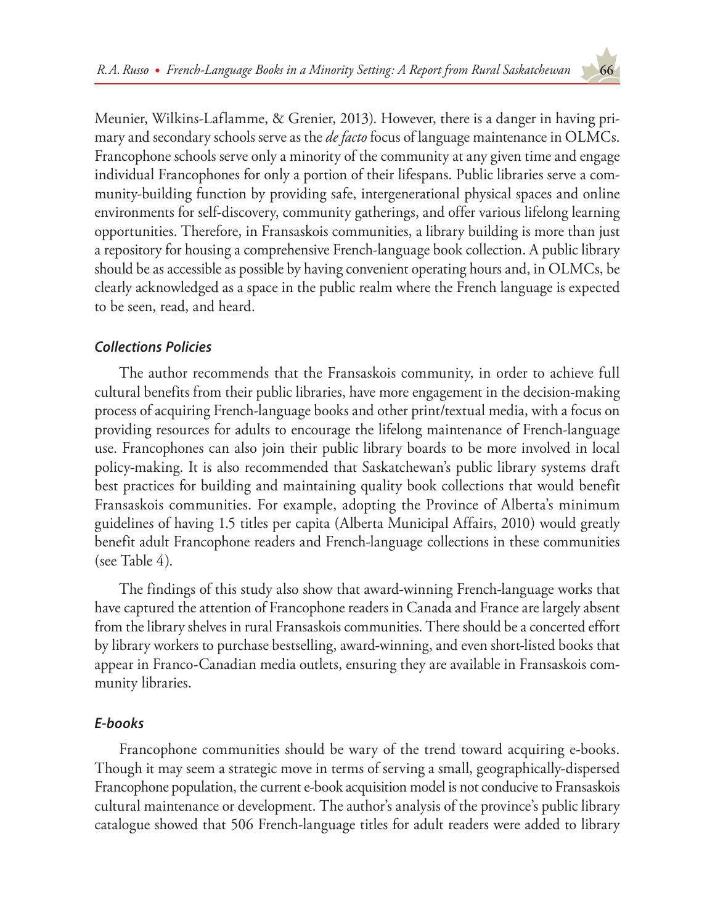Meunier, Wilkins-Laflamme, & Grenier, 2013). However, there is a danger in having primary and secondary schools serve as the *de facto* focus of language maintenance in OLMCs. Francophone schools serve only a minority of the community at any given time and engage individual Francophones for only a portion of their lifespans. Public libraries serve a community-building function by providing safe, intergenerational physical spaces and online environments for self-discovery, community gatherings, and offer various lifelong learning opportunities. Therefore, in Fransaskois communities, a library building is more than just a repository for housing a comprehensive French-language book collection. A public library should be as accessible as possible by having convenient operating hours and, in OLMCs, be clearly acknowledged as a space in the public realm where the French language is expected to be seen, read, and heard.

# *Collections Policies*

The author recommends that the Fransaskois community, in order to achieve full cultural benefits from their public libraries, have more engagement in the decision-making process of acquiring French-language books and other print/textual media, with a focus on providing resources for adults to encourage the lifelong maintenance of French-language use. Francophones can also join their public library boards to be more involved in local policy-making. It is also recommended that Saskatchewan's public library systems draft best practices for building and maintaining quality book collections that would benefit Fransaskois communities. For example, adopting the Province of Alberta's minimum guidelines of having 1.5 titles per capita (Alberta Municipal Affairs, 2010) would greatly benefit adult Francophone readers and French-language collections in these communities (see Table 4).

The findings of this study also show that award-winning French-language works that have captured the attention of Francophone readers in Canada and France are largely absent from the library shelves in rural Fransaskois communities. There should be a concerted effort by library workers to purchase bestselling, award-winning, and even short-listed books that appear in Franco-Canadian media outlets, ensuring they are available in Fransaskois community libraries.

# *E-books*

Francophone communities should be wary of the trend toward acquiring e-books. Though it may seem a strategic move in terms of serving a small, geographically-dispersed Francophone population, the current e-book acquisition model is not conducive to Fransaskois cultural maintenance or development. The author's analysis of the province's public library catalogue showed that 506 French-language titles for adult readers were added to library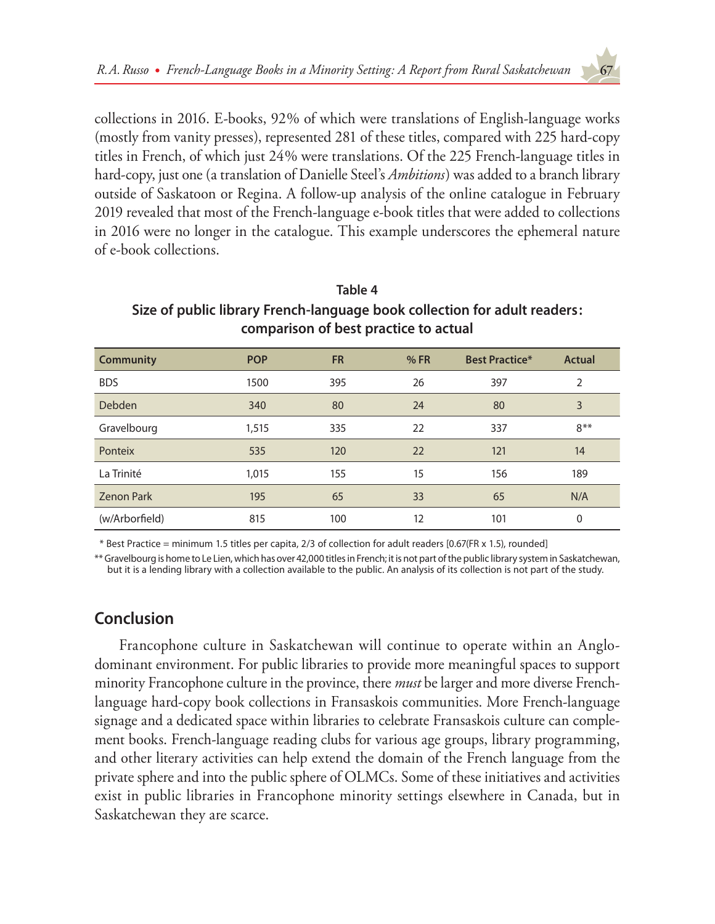collections in 2016. E-books, 92% of which were translations of English-language works (mostly from vanity presses), represented 281 of these titles, compared with 225 hard-copy titles in French, of which just 24% were translations. Of the 225 French-language titles in hard-copy, just one (a translation of Danielle Steel's *Ambitions*) was added to a branch library outside of Saskatoon or Regina. A follow-up analysis of the online catalogue in February 2019 revealed that most of the French-language e-book titles that were added to collections in 2016 were no longer in the catalogue. This example underscores the ephemeral nature of e-book collections.

| comparison of best practice to actual |            |           |     |                       |        |  |
|---------------------------------------|------------|-----------|-----|-----------------------|--------|--|
| <b>Community</b>                      | <b>POP</b> | <b>FR</b> | %FR | <b>Best Practice*</b> | Actual |  |
| <b>BDS</b>                            | 1500       | 395       | 26  | 397                   | 2      |  |
| <b>Debden</b>                         | 340        | 80        | 24  | 80                    | 3      |  |
| Gravelbourg                           | 1,515      | 335       | 22  | 337                   | $8**$  |  |
| Ponteix                               | 535        | 120       | 22  | 121                   | 14     |  |
| La Trinité                            | 1,015      | 155       | 15  | 156                   | 189    |  |
| <b>Zenon Park</b>                     | 195        | 65        | 33  | 65                    | N/A    |  |
| (w/Arborfield)                        | 815        | 100       | 12  | 101                   | 0      |  |

# **Table 4 Size of public library French-language book collection for adult readers: comparison of best practice to actual**

\* Best Practice = minimum 1.5 titles per capita, 2/3 of collection for adult readers [0.67(FR x 1.5), rounded]

\*\* Gravelbourg is home to Le Lien, which has over 42,000 titles in French; it is not part of the public library system in Saskatchewan, but it is a lending library with a collection available to the public. An analysis of its collection is not part of the study.

# **Conclusion**

Francophone culture in Saskatchewan will continue to operate within an Anglodominant environment. For public libraries to provide more meaningful spaces to support minority Francophone culture in the province, there *must* be larger and more diverse Frenchlanguage hard-copy book collections in Fransaskois communities. More French-language signage and a dedicated space within libraries to celebrate Fransaskois culture can complement books. French-language reading clubs for various age groups, library programming, and other literary activities can help extend the domain of the French language from the private sphere and into the public sphere of OLMCs. Some of these initiatives and activities exist in public libraries in Francophone minority settings elsewhere in Canada, but in Saskatchewan they are scarce.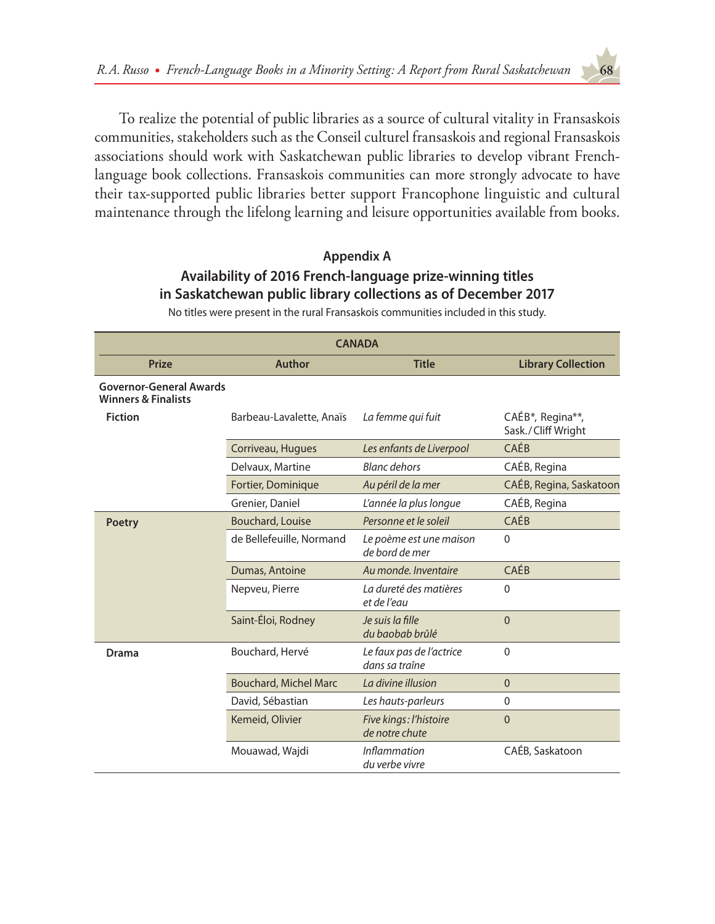To realize the potential of public libraries as a source of cultural vitality in Fransaskois communities, stakeholders such as the Conseil culturel fransaskois and regional Fransaskois associations should work with Saskatchewan public libraries to develop vibrant Frenchlanguage book collections. Fransaskois communities can more strongly advocate to have their tax-supported public libraries better support Francophone linguistic and cultural maintenance through the lifelong learning and leisure opportunities available from books.

# **Appendix A Availability of 2016 French-language prize-winning titles in Saskatchewan public library collections as of December 2017**

No titles were present in the rural Fransaskois communities included in this study.

| <b>CANADA</b>                                                    |                                         |                                            |                                        |  |  |  |
|------------------------------------------------------------------|-----------------------------------------|--------------------------------------------|----------------------------------------|--|--|--|
| <b>Prize</b>                                                     | <b>Author</b>                           | <b>Title</b>                               | <b>Library Collection</b>              |  |  |  |
| <b>Governor-General Awards</b><br><b>Winners &amp; Finalists</b> |                                         |                                            |                                        |  |  |  |
| <b>Fiction</b>                                                   | Barbeau-Lavalette, Anaïs                | La femme qui fuit                          | CAÉB*, Regina**,<br>Sask./Cliff Wright |  |  |  |
|                                                                  | Corriveau, Hugues                       | Les enfants de Liverpool                   | CAÉB                                   |  |  |  |
|                                                                  | <b>Blanc dehors</b><br>Delvaux, Martine |                                            | CAÉB, Regina                           |  |  |  |
|                                                                  | Fortier, Dominique                      | Au péril de la mer                         | CAÉB, Regina, Saskatoon                |  |  |  |
|                                                                  | Grenier, Daniel                         | L'année la plus longue                     | CAÉB, Regina                           |  |  |  |
| <b>Poetry</b>                                                    | Bouchard, Louise                        | Personne et le soleil                      | CAÉB                                   |  |  |  |
|                                                                  | de Bellefeuille, Normand                | Le poème est une maison<br>de bord de mer  | $\Omega$                               |  |  |  |
|                                                                  | Dumas, Antoine                          | Au monde. Inventaire                       | CAÉB                                   |  |  |  |
|                                                                  | Nepveu, Pierre                          | La dureté des matières<br>et de l'eau      | 0                                      |  |  |  |
|                                                                  | Saint-Éloi, Rodney                      | Je suis la fille<br>du baobab brûlé        | $\overline{0}$                         |  |  |  |
| <b>Drama</b>                                                     | Bouchard, Hervé                         | Le faux pas de l'actrice<br>dans sa traîne | $\mathbf{0}$                           |  |  |  |
|                                                                  | <b>Bouchard, Michel Marc</b>            | La divine illusion                         | $\overline{0}$                         |  |  |  |
|                                                                  | David, Sébastian                        | Les hauts-parleurs                         | $\mathbf{0}$                           |  |  |  |
|                                                                  | Kemeid, Olivier                         | Five kings: l'histoire<br>de notre chute   | $\overline{0}$                         |  |  |  |
|                                                                  | Mouawad, Wajdi                          | <i>Inflammation</i><br>du verbe vivre      | CAÉB, Saskatoon                        |  |  |  |

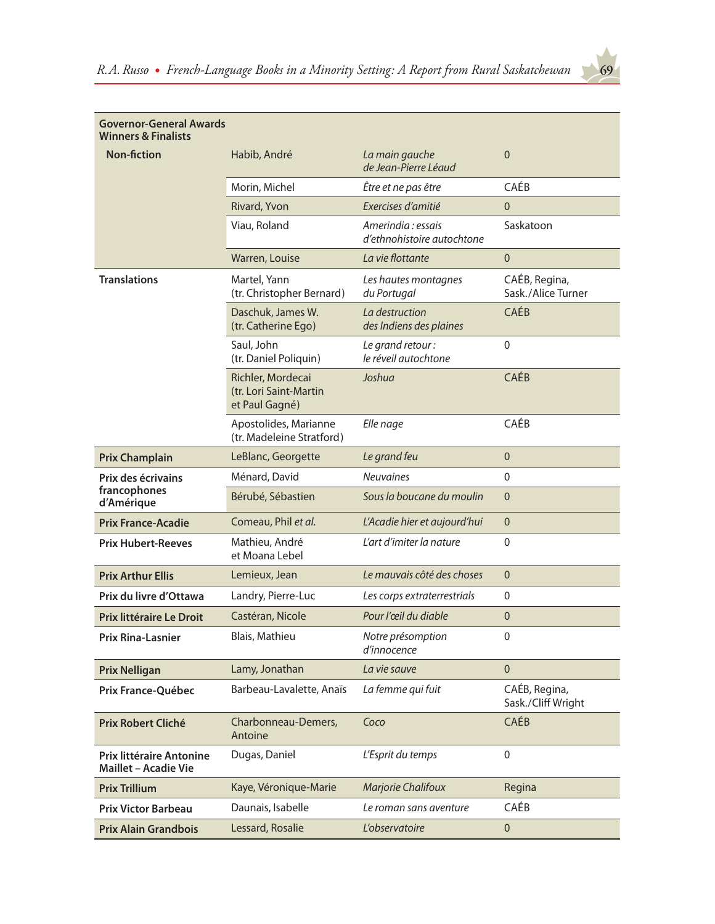| <b>Governor-General Awards</b>                                 |                                                               |                                                 |                                     |  |  |
|----------------------------------------------------------------|---------------------------------------------------------------|-------------------------------------------------|-------------------------------------|--|--|
| <b>Winners &amp; Finalists</b>                                 |                                                               |                                                 |                                     |  |  |
| <b>Non-fiction</b>                                             | Habib, André                                                  | La main gauche<br>de Jean-Pierre Léaud          | 0                                   |  |  |
|                                                                | Morin, Michel                                                 | Être et ne pas être                             | CAÉB                                |  |  |
|                                                                | Rivard, Yvon                                                  | Exercises d'amitié                              | $\overline{0}$                      |  |  |
|                                                                | Viau, Roland                                                  | Amerindia: essais<br>d'ethnohistoire autochtone | Saskatoon                           |  |  |
|                                                                | Warren, Louise                                                | La vie flottante                                | $\mathbf{0}$                        |  |  |
| <b>Translations</b>                                            | Martel, Yann<br>(tr. Christopher Bernard)                     | Les hautes montagnes<br>du Portugal             | CAÉB, Regina,<br>Sask./Alice Turner |  |  |
|                                                                | Daschuk, James W.<br>(tr. Catherine Ego)                      | La destruction<br>des Indiens des plaines       | CAÉB                                |  |  |
|                                                                | Saul, John<br>(tr. Daniel Poliquin)                           | Le grand retour:<br>le réveil autochtone        | $\boldsymbol{0}$                    |  |  |
|                                                                | Richler, Mordecai<br>(tr. Lori Saint-Martin<br>et Paul Gagné) | Joshua                                          | CAÉB                                |  |  |
|                                                                | Apostolides, Marianne<br>(tr. Madeleine Stratford)            | Elle nage                                       | CAÉB                                |  |  |
| <b>Prix Champlain</b>                                          | LeBlanc, Georgette                                            | Le grand feu                                    | $\overline{0}$                      |  |  |
| Prix des écrivains                                             | Ménard, David                                                 | <b>Neuvaines</b>                                | $\mathbf 0$                         |  |  |
| francophones<br>d'Amérique                                     | Bérubé, Sébastien                                             | Sous la boucane du moulin                       | $\overline{0}$                      |  |  |
| <b>Prix France-Acadie</b>                                      | Comeau, Phil et al.                                           | L'Acadie hier et aujourd'hui                    | $\mathbf{0}$                        |  |  |
| <b>Prix Hubert-Reeves</b>                                      | Mathieu, André<br>et Moana Lebel                              | L'art d'imiter la nature                        | $\mathbf 0$                         |  |  |
| <b>Prix Arthur Ellis</b>                                       | Lemieux, Jean                                                 | Le mauvais côté des choses                      | $\overline{0}$                      |  |  |
| Prix du livre d'Ottawa                                         | Landry, Pierre-Luc                                            | Les corps extraterrestrials                     | 0                                   |  |  |
| Prix littéraire Le Droit                                       | Castéran, Nicole                                              | Pour l'œil du diable                            | 0                                   |  |  |
| <b>Prix Rina-Lasnier</b>                                       | Blais, Mathieu                                                | Notre présomption<br>d'innocence                | $\boldsymbol{0}$                    |  |  |
| <b>Prix Nelligan</b>                                           | Lamy, Jonathan                                                | La vie sauve                                    | $\mathbf 0$                         |  |  |
| Prix France-Québec                                             | Barbeau-Lavalette, Anaïs                                      | La femme qui fuit                               | CAÉB, Regina,<br>Sask./Cliff Wright |  |  |
| Prix Robert Cliché                                             | Charbonneau-Demers,<br>Antoine                                | Coco                                            | CAÉB                                |  |  |
| <b>Prix littéraire Antonine</b><br><b>Maillet - Acadie Vie</b> | Dugas, Daniel                                                 | L'Esprit du temps                               | $\boldsymbol{0}$                    |  |  |
| <b>Prix Trillium</b>                                           | Kaye, Véronique-Marie                                         | <b>Marjorie Chalifoux</b>                       | Regina                              |  |  |
| <b>Prix Victor Barbeau</b>                                     | Daunais, Isabelle                                             | Le roman sans aventure                          | CAÉB                                |  |  |
| <b>Prix Alain Grandbois</b>                                    | Lessard, Rosalie                                              | L'observatoire                                  | $\pmb{0}$                           |  |  |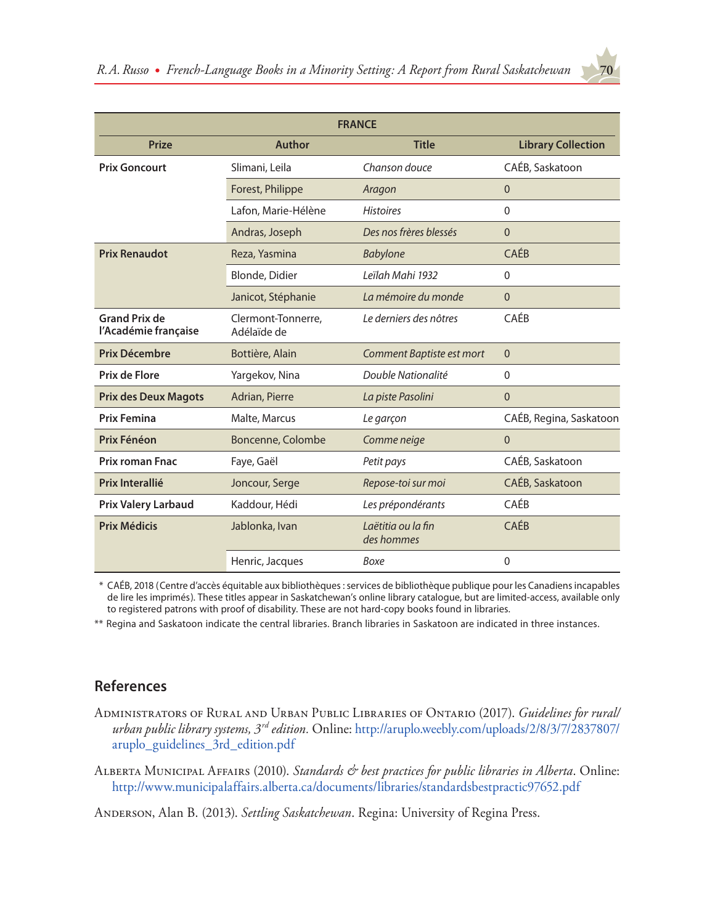| <b>FRANCE</b>                                |                                               |                                  |                           |  |  |  |
|----------------------------------------------|-----------------------------------------------|----------------------------------|---------------------------|--|--|--|
|                                              | <b>Title</b><br><b>Prize</b><br><b>Author</b> |                                  |                           |  |  |  |
|                                              |                                               |                                  | <b>Library Collection</b> |  |  |  |
| <b>Prix Goncourt</b>                         | Slimani, Leila                                | Chanson douce                    | CAÉB, Saskatoon           |  |  |  |
|                                              | Forest, Philippe                              | Aragon                           | $\mathbf 0$               |  |  |  |
|                                              | Lafon, Marie-Hélène                           | <b>Histoires</b>                 | $\Omega$                  |  |  |  |
|                                              | Andras, Joseph                                | Des nos frères blessés           | $\mathbf 0$               |  |  |  |
| <b>Prix Renaudot</b>                         | Reza, Yasmina                                 | <b>Babylone</b>                  | CAÉB                      |  |  |  |
|                                              | Blonde, Didier                                | Leïlah Mahi 1932                 | $\mathbf{0}$              |  |  |  |
|                                              | Janicot, Stéphanie                            | La mémoire du monde              | $\Omega$                  |  |  |  |
| <b>Grand Prix de</b><br>l'Académie française | Clermont-Tonnerre,<br>Adélaïde de             | Le derniers des nôtres           | CAÉB                      |  |  |  |
| Prix Décembre                                | Bottière, Alain                               | Comment Baptiste est mort        | $\overline{0}$            |  |  |  |
| Prix de Flore                                | Yargekov, Nina                                | Double Nationalité               | $\mathbf{0}$              |  |  |  |
| <b>Prix des Deux Magots</b>                  | Adrian, Pierre                                | La piste Pasolini                | $\mathbf{0}$              |  |  |  |
| <b>Prix Femina</b>                           | Malte, Marcus                                 | Le garçon                        | CAÉB, Regina, Saskatoon   |  |  |  |
| Prix Fénéon                                  | Boncenne, Colombe                             | Comme neige                      | $\mathbf{0}$              |  |  |  |
| <b>Prix roman Fnac</b>                       | Faye, Gaël                                    | Petit pays                       | CAÉB, Saskatoon           |  |  |  |
| Prix Interallié                              | Joncour, Serge                                | Repose-toi sur moi               | CAÉB, Saskatoon           |  |  |  |
| <b>Prix Valery Larbaud</b>                   | Kaddour, Hédi                                 | Les prépondérants                | CAÉB                      |  |  |  |
| <b>Prix Médicis</b>                          | Jablonka, Ivan                                | Laëtitia ou la fin<br>des hommes | <b>CAÉB</b>               |  |  |  |
|                                              | Henric, Jacques                               | Boxe                             | 0                         |  |  |  |

\* CAÉB, 2018 (Centre d'accès équitable aux bibliothèques : services de bibliothèque publique pour les Canadiens incapables de lire les imprimés). These titles appear in Saskatchewan's online library catalogue, but are limited-access, available only to registered patrons with proof of disability. These are not hard-copy books found in libraries.

\*\* Regina and Saskatoon indicate the central libraries. Branch libraries in Saskatoon are indicated in three instances.

# **References**

- Administrators of Rural and Urban Public Libraries of Ontario (2017). *Guidelines for rural/ urban public library systems, 3rd edition.* Online: [http://aruplo.weebly.com/uploads/2/8/3/7/2837807/](http://aruplo.weebly.com/uploads/2/8/3/7/2837807/aruplo_guidelines_3rd_edition.pdf) [aruplo\\_guidelines\\_3rd\\_edition.pdf](http://aruplo.weebly.com/uploads/2/8/3/7/2837807/aruplo_guidelines_3rd_edition.pdf)
- Alberta Municipal Affairs (2010). *Standards & best practices for public libraries in Alberta*. Online: <http://www.municipalaffairs.alberta.ca/documents/libraries/standardsbestpractic97652.pdf>

Anderson, Alan B. (2013). *Settling Saskatchewan*. Regina: University of Regina Press.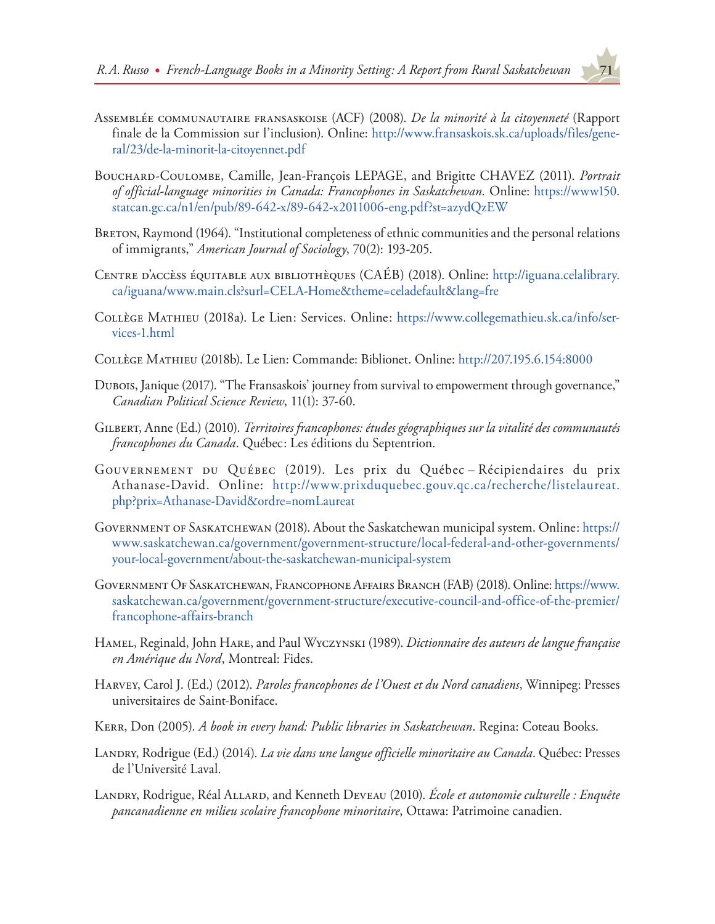

- Assemblée communautaire fransaskoise (ACF) (2008). *De la minorité à la citoyenneté* (Rapport finale de la Commission sur l'inclusion). Online: [http://www.fransaskois.sk.ca/uploads/files/gene](http://www.fransaskois.sk.ca/uploads/files/general/23/de-la-minorit-la-citoyennet.pdf)[ral/23/de-la-minorit-la-citoyennet.pdf](http://www.fransaskois.sk.ca/uploads/files/general/23/de-la-minorit-la-citoyennet.pdf)
- Bouchard-Coulombe, Camille, Jean-François LEPAGE, and Brigitte CHAVEZ (2011). *Portrait of official-language minorities in Canada: Francophones in Saskatchewan.* Online: [https://www150.](https://www150.statcan.gc.ca/n1/en/pub/89-642-x/89-642-x2011006-eng.pdf?st=azydQzEW) [statcan.gc.ca/n1/en/pub/89-642-x/89-642-x2011006-eng.pdf?st=azydQzEW](https://www150.statcan.gc.ca/n1/en/pub/89-642-x/89-642-x2011006-eng.pdf?st=azydQzEW)
- Breton, Raymond (1964). "Institutional completeness of ethnic communities and the personal relations of immigrants," *American Journal of Sociology*, 70(2): 193-205.
- Centre d'accèss équitable aux bibliothèques (CAÉB) (2018). Online: [http://iguana.celalibrary.](http://iguana.celalibrary.ca/iguana/www.main.cls?surl=CELA-Home&theme=celadefault&lang=fre) [ca/iguana/www.main.cls?surl=CELA-Home&theme=celadefault&lang=fre](http://iguana.celalibrary.ca/iguana/www.main.cls?surl=CELA-Home&theme=celadefault&lang=fre)
- Collège Mathieu (2018a). Le Lien: Services. Online: [https://www.collegemathieu.sk.ca/info/ser](https://www.collegemathieu.sk.ca/info/services-1.html)[vices-1.html](https://www.collegemathieu.sk.ca/info/services-1.html)
- Collège Mathieu (2018b). Le Lien: Commande: Biblionet. Online: <http://207.195.6.154:8000>
- Dubois, Janique (2017). "The Fransaskois' journey from survival to empowerment through governance," *Canadian Political Science Review*, 11(1): 37-60.
- Gilbert, Anne (Ed.) (2010). *Territoires francophones: études géographiques sur la vitalité des communautés francophones du Canada*. Québec: Les éditions du Septentrion.
- Gouvernement du Québec (2019). Les prix du Québec Récipiendaires du prix Athanase-David. Online: [http://www.prixduquebec.gouv.qc.ca/recherche/listelaureat.](http://www.prixduquebec.gouv.qc.ca/recherche/listelaureat.php?prix=Athanase-David&ordre=nomLaureat) [php?prix=Athanase-David&ordre=nomLaureat](http://www.prixduquebec.gouv.qc.ca/recherche/listelaureat.php?prix=Athanase-David&ordre=nomLaureat)
- Government of Saskatchewan (2018). About the Saskatchewan municipal system. Online: [https://](https://www.saskatchewan.ca/government/government-structure/local-federal-and-other-governments/your-local-government/about-the-saskatchewan-municipal-system) [www.saskatchewan.ca/government/government-structure/local-federal-and-other-governments/](https://www.saskatchewan.ca/government/government-structure/local-federal-and-other-governments/your-local-government/about-the-saskatchewan-municipal-system) [your-local-government/about-the-saskatchewan-municipal-system](https://www.saskatchewan.ca/government/government-structure/local-federal-and-other-governments/your-local-government/about-the-saskatchewan-municipal-system)
- Government Of Saskatchewan, Francophone Affairs Branch (FAB) (2018). Online: [https://www.](https://www.saskatchewan.ca/government/government-structure/executive-council-and-office-of-the-premier/francophone-affairs-branch) [saskatchewan.ca/government/government-structure/executive-council-and-office-of-the-premier/](https://www.saskatchewan.ca/government/government-structure/executive-council-and-office-of-the-premier/francophone-affairs-branch) [francophone-affairs-branch](https://www.saskatchewan.ca/government/government-structure/executive-council-and-office-of-the-premier/francophone-affairs-branch)
- Hamel, Reginald, John Hare, and Paul Wyczynski (1989). *Dictionnaire des auteurs de langue française en Amérique du Nord*, Montreal: Fides.
- Harvey, Carol J. (Ed.) (2012). *Paroles francophones de l'Ouest et du Nord canadiens*, Winnipeg: Presses universitaires de Saint-Boniface.
- Kerr, Don (2005). *A book in every hand: Public libraries in Saskatchewan*. Regina: Coteau Books.
- Landry, Rodrigue (Ed.) (2014). *La vie dans une langue officielle minoritaire au Canada*. Québec: Presses de l'Université Laval.
- LANDRY, Rodrigue, Réal ALLARD, and Kenneth DEVEAU (2010). École et autonomie culturelle : Enquête *pancanadienne en milieu scolaire francophone minoritaire*, Ottawa: Patrimoine canadien.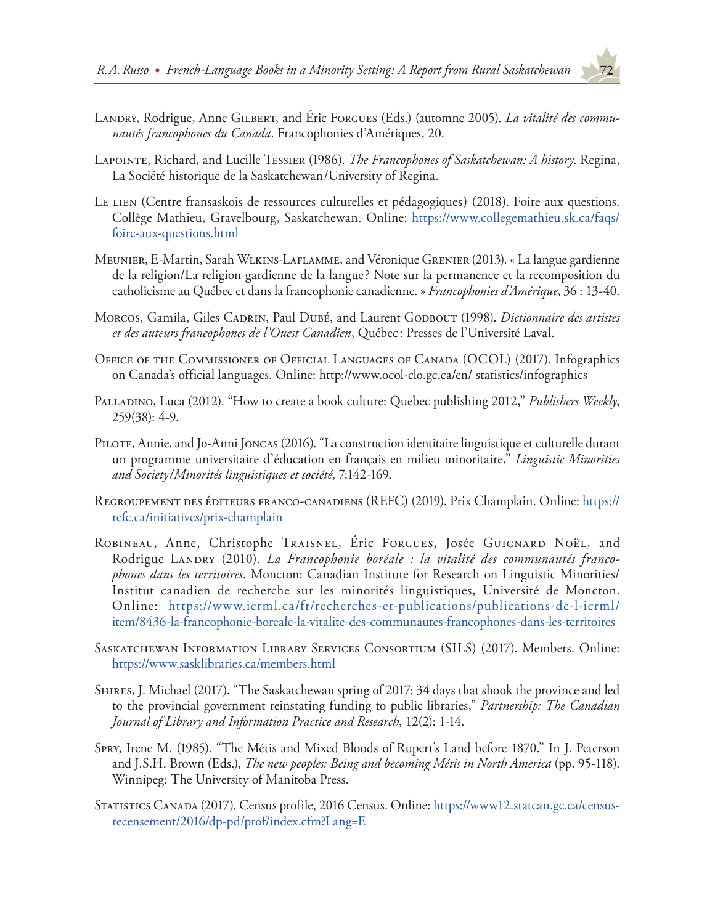- LANDRY, Rodrigue, Anne GILBERT, and Eric Forgues (Eds.) (automne 2005). *La vitalité des communautés francophones du Canada*. Francophonies d'Amériques, 20.
- Lapointe, Richard, and Lucille Tessier (1986). *The Francophones of Saskatchewan: A history*. Regina, La Société historique de la Saskatchewan/University of Regina.
- Le LIEN (Centre fransaskois de ressources culturelles et pédagogiques) (2018). Foire aux questions. Collège Mathieu, Gravelbourg, Saskatchewan. Online: [https://www.collegemathieu.sk.ca/faqs/](https://www.collegemathieu.sk.ca/faqs/foire-aux-questions.html) [foire-aux-questions.html](https://www.collegemathieu.sk.ca/faqs/foire-aux-questions.html)
- Meunier, E-Martin, Sarah Wlkins-Laflamme, and Véronique Grenier (2013). « La langue gardienne de la religion/La religion gardienne de la langue? Note sur la permanence et la recomposition du catholicisme au Québec et dans la francophonie canadienne. » *Francophonies d'Amérique*, 36 : 13-40.
- Morcos, Gamila, Giles Cadrin, Paul Dubé, and Laurent Godbout (1998). *Dictionnaire des artistes et des auteurs francophones de l'Ouest Canadien*, Québec: Presses de l'Université Laval.
- Office of the Commissioner of Official Languages of Canada (OCOL) (2017). Infographics on Canada's official languages. Online: http://www.ocol-clo.gc.ca/en/ statistics/infographics
- Palladino, Luca (2012). "How to create a book culture: Quebec publishing 2012," *Publishers Weekly*, 259(38): 4-9.
- Pilote, Annie, and Jo-Anni Joncas (2016). "La construction identitaire linguistique et culturelle durant un programme universitaire d'éducation en français en milieu minoritaire," *Linguistic Minorities and Society/Minorités linguistiques et société*, 7:142-169.
- Regroupement des éditeurs franco-canadiens (REFC) (2019). Prix Champlain. Online: [https://](https://refc.ca/initiatives/prix-champlain) [refc.ca/initiatives/prix-champlain](https://refc.ca/initiatives/prix-champlain)
- Robineau, Anne, Christophe Traisnel, Éric Forgues, Josée Guignard Noël, and Rodrigue Landry (2010). *La Francophonie boréale : la vitalité des communautés francophones dans les territoires*. Moncton: Canadian Institute for Research on Linguistic Minorities/ Institut canadien de recherche sur les minorités linguistiques, Université de Moncton. Online: [https://www.icrml.ca/fr/recherches-et-publications/publications-de-l-icrml/](https://www.icrml.ca/fr/recherches-et-publications/publications-de-l-icrml/item/8436-la-francophonie-boreale-la-vitalite-des-communautes-francophones-dans-les-territoires) [item/8436-la-francophonie-boreale-la-vitalite-des-communautes-francophones-dans-les-territoires](https://www.icrml.ca/fr/recherches-et-publications/publications-de-l-icrml/item/8436-la-francophonie-boreale-la-vitalite-des-communautes-francophones-dans-les-territoires)
- Saskatchewan Information Library Services Consortium (SILS) (2017). Members. Online: <https://www.sasklibraries.ca/members.html>
- Shires, J. Michael (2017). "The Saskatchewan spring of 2017: 34 days that shook the province and led to the provincial government reinstating funding to public libraries," *Partnership: The Canadian Journal of Library and Information Practice and Research*, 12(2): 1-14.
- Spry, Irene M. (1985). "The Métis and Mixed Bloods of Rupert's Land before 1870." In J. Peterson and J.S.H. Brown (Eds.), *The new peoples: Being and becoming Métis in North America* (pp. 95-118). Winnipeg: The University of Manitoba Press.
- Statistics Canada (2017). Census profile, 2016 Census. Online: [https://www12.statcan.gc.ca/census](https://www12.statcan.gc.ca/census-recensement/2016/dp-pd/prof/index.cfm?Lang=E)[recensement/2016/dp-pd/prof/index.cfm?Lang=E](https://www12.statcan.gc.ca/census-recensement/2016/dp-pd/prof/index.cfm?Lang=E)